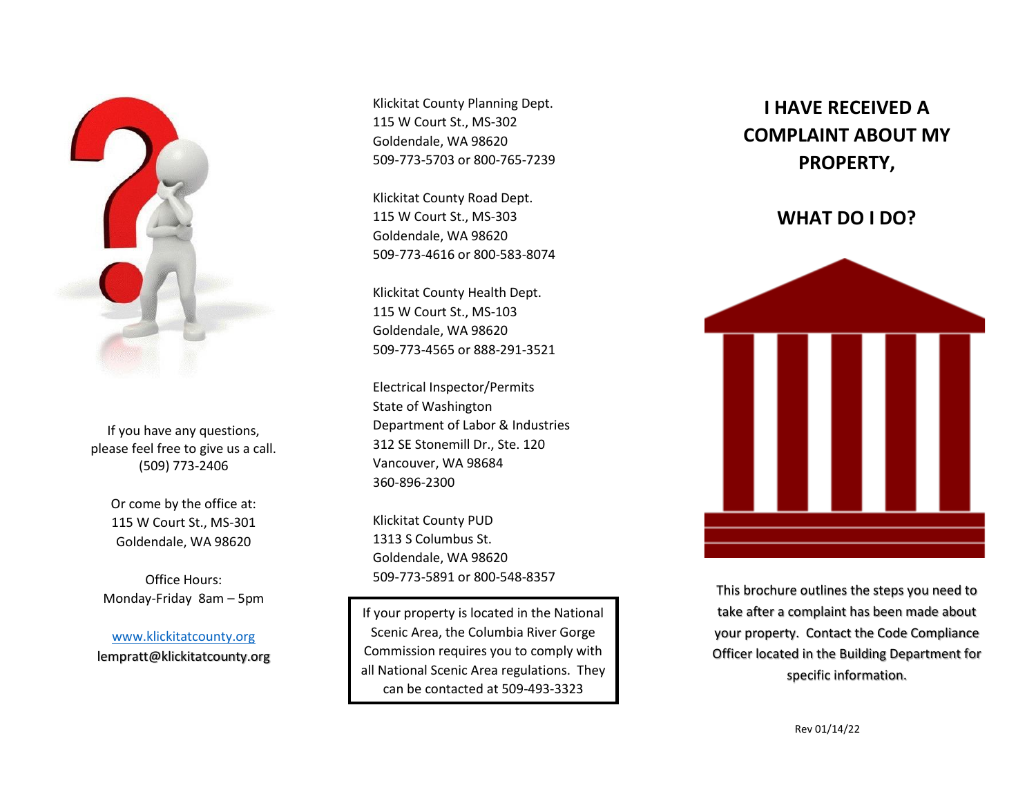

If you have any questions, please feel free to give us a call. (509) 773-2406

> Or come by the office at: 115 W Court St., MS-301 Goldendale, WA 98620

Office Hours: Monday-Friday 8am – 5pm

[www.klickitatcounty.org](http://www.klickitatcounty.org/) lempratt@klickitatcounty.org Klickitat County Planning Dept. 115 W Court St., MS-302 Goldendale, WA 98620 509-773-5703 or 800-765-7239

Klickitat County Road Dept. 115 W Court St., MS-303 Goldendale, WA 98620 509-773-4616 or 800-583-8074

Klickitat County Health Dept. 115 W Court St., MS-103 Goldendale, WA 98620 509-773-4565 or 888-291-3521

Electrical Inspector/Permits State of Washington Department of Labor & Industries 312 SE Stonemill Dr., Ste. 120 Vancouver, WA 98684 360-896-2300

Klickitat County PUD 1313 S Columbus St. Goldendale, WA 98620 509-773-5891 or 800-548-8357

If your property is located in the National Scenic Area, the Columbia River Gorge Commission requires you to comply with all National Scenic Area regulations. They can be contacted at 509-493-3323

## **I HAVE RECEIVED A COMPLAINT ABOUT MY PROPERTY,**

## **WHAT DO I DO?**



This brochure outlines the steps you need to take after a complaint has been made about your property. Contact the Code Compliance Officer located in the Building Department for specific information.